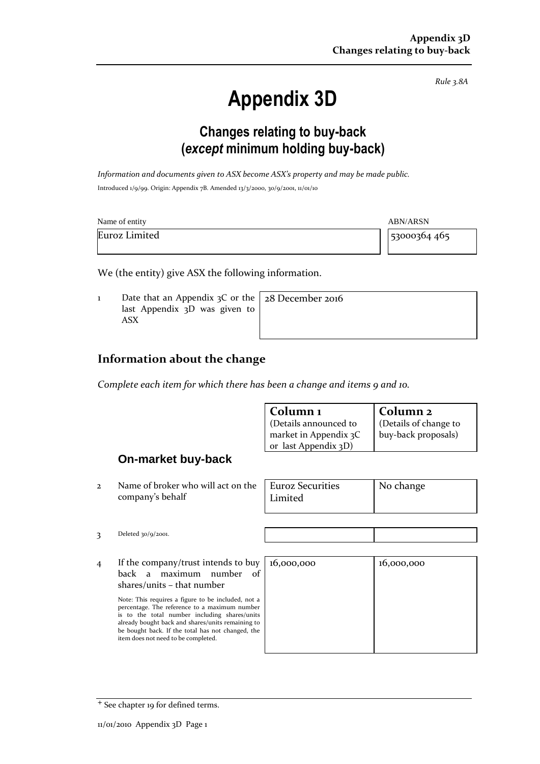# **Appendix 3D**

*Rule 3.8A*

## **Changes relating to buy-back (***except* **minimum holding buy-back)**

*Information and documents given to ASX become ASX's property and may be made public.* Introduced 1/9/99. Origin: Appendix 7B. Amended 13/3/2000, 30/9/2001, 11/01/10

| Name of entity<br><b>ABN/ARSN</b> |              |
|-----------------------------------|--------------|
| Euroz Limited                     | 53000364 465 |

We (the entity) give ASX the following information.

1 Date that an Appendix 3C or the last Appendix 3D was given to ASX

28 December 2016

#### **Information about the change**

*Complete each item for which there has been a change and items 9 and 10.*

| Column 1              | Column 2             |
|-----------------------|----------------------|
| (Details announced to | Details of change to |
| market in Appendix 3C | buy-back proposals)  |
| or last Appendix 3D)  |                      |

#### **On-market buy-back**

2 Name of broker who will act on the company's behalf

| <b>Euroz Securities</b> | No change |
|-------------------------|-----------|
| Limited                 |           |
|                         |           |

3 Deleted 30/9/2001.

4 If the company/trust intends to buy back a maximum number of shares/units – that number

> Note: This requires a figure to be included, not a percentage. The reference to a maximum number is to the total number including shares/units already bought back and shares/units remaining to be bought back. If the total has not changed, the item does not need to be completed.

| 16,000,000 | 16,000,000 |
|------------|------------|
|            |            |
|            |            |
|            |            |
|            |            |
|            |            |

<sup>+</sup> See chapter 19 for defined terms.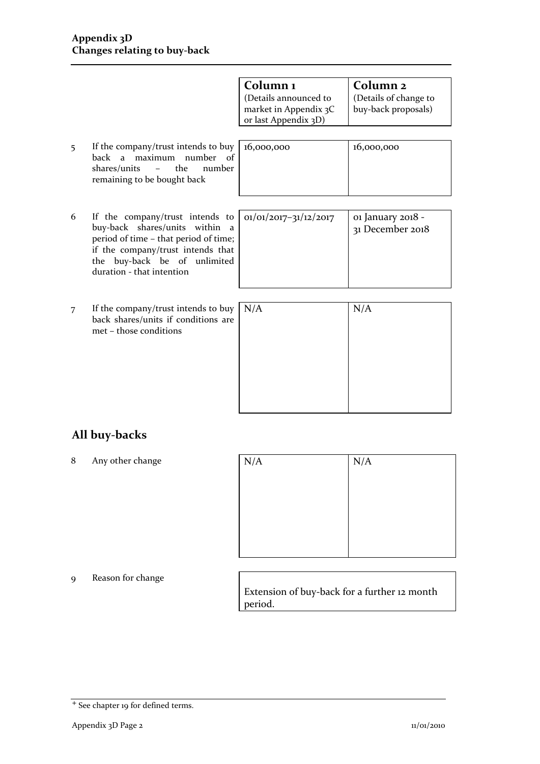|   |                                                                                                                                                                                                                        | Column <sub>1</sub><br>(Details announced to<br>market in Appendix 3C<br>or last Appendix 3D) | Column <sub>2</sub><br>(Details of change to<br>buy-back proposals) |
|---|------------------------------------------------------------------------------------------------------------------------------------------------------------------------------------------------------------------------|-----------------------------------------------------------------------------------------------|---------------------------------------------------------------------|
| 5 | If the company/trust intends to buy<br>maximum number<br>back<br>of<br>$\overline{a}$<br>the<br>shares/units<br>number<br>$\mathcal{L}^{\mathcal{L}}$ and $\mathcal{L}^{\mathcal{L}}$ .<br>remaining to be bought back | 16,000,000                                                                                    | 16,000,000                                                          |
|   |                                                                                                                                                                                                                        |                                                                                               |                                                                     |
| 6 | If the company/trust intends to<br>buy-back shares/units within a<br>period of time - that period of time;<br>if the company/trust intends that<br>buy-back be of unlimited<br>the<br>duration - that intention        | $01/01/2017 - 31/12/2017$                                                                     | 01 January 2018 -<br>31 December 2018                               |
| 7 | If the company/trust intends to buy<br>back shares/units if conditions are<br>met – those conditions                                                                                                                   | N/A                                                                                           | N/A                                                                 |

### **All buy-backs**

8 Any other change

| N/A |  |
|-----|--|
|     |  |
|     |  |
|     |  |
|     |  |
|     |  |
|     |  |

#### 9 Reason for change

Extension of buy-back for a further 12 month period.

<sup>+</sup> See chapter 19 for defined terms.